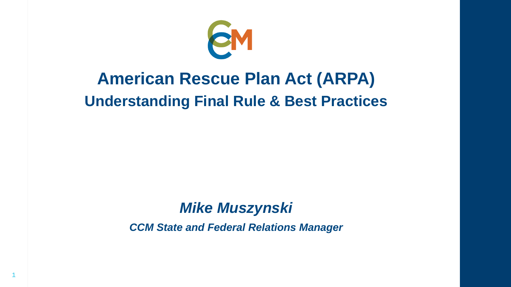

### **American Rescue Plan Act (ARPA) Understanding Final Rule & Best Practices**

### *Mike Muszynski*

*CCM State and Federal Relations Manager*

1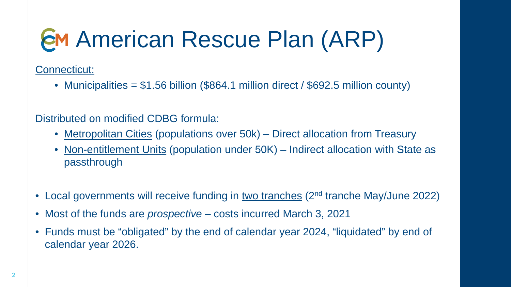Connecticut:

• Municipalities =  $$1.56$  billion (\$864.1 million direct / \$692.5 million county)

Distributed on modified CDBG formula:

- Metropolitan Cities (populations over 50k) Direct allocation from Treasury
- Non-entitlement Units (population under 50K) Indirect allocation with State as passthrough
- Local governments will receive funding in two tranches (2<sup>nd</sup> tranche May/June 2022)
- Most of the funds are *prospective* costs incurred March 3, 2021
- Funds must be "obligated" by the end of calendar year 2024, "liquidated" by end of calendar year 2026.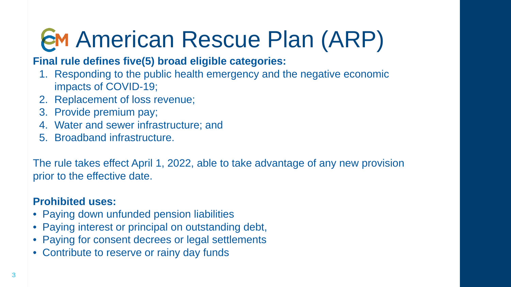#### **Final rule defines five(5) broad eligible categories:**

- 1. Responding to the public health emergency and the negative economic impacts of COVID-19;
- 2. Replacement of loss revenue;
- 3. Provide premium pay;
- 4. Water and sewer infrastructure; and
- 5. Broadband infrastructure.

The rule takes effect April 1, 2022, able to take advantage of any new provision prior to the effective date.

#### **Prohibited uses:**

- Paying down unfunded pension liabilities
- Paying interest or principal on outstanding debt,
- Paying for consent decrees or legal settlements
- Contribute to reserve or rainy day funds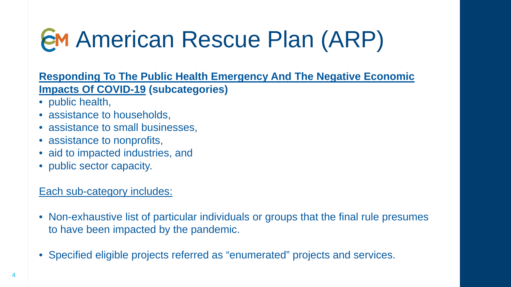**Responding To The Public Health Emergency And The Negative Economic Impacts Of COVID-19 (subcategories)** 

- public health,
- assistance to households,
- assistance to small businesses,
- assistance to nonprofits,
- aid to impacted industries, and
- public sector capacity.

#### Each sub-category includes:

- Non-exhaustive list of particular individuals or groups that the final rule presumes to have been impacted by the pandemic.
- Specified eligible projects referred as "enumerated" projects and services.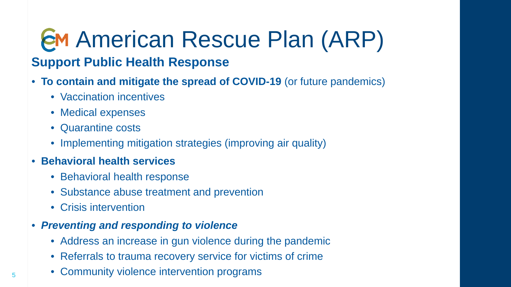### American Rescue Plan (ARP) **Support Public Health Response**

- **To contain and mitigate the spread of COVID-19** (or future pandemics)
	- Vaccination incentives
	- Medical expenses
	- Quarantine costs
	- Implementing mitigation strategies (improving air quality)
- **Behavioral health services**
	- Behavioral health response
	- Substance abuse treatment and prevention
	- Crisis intervention
- *Preventing and responding to violence*
	- Address an increase in gun violence during the pandemic
	- Referrals to trauma recovery service for victims of crime
	- Community violence intervention programs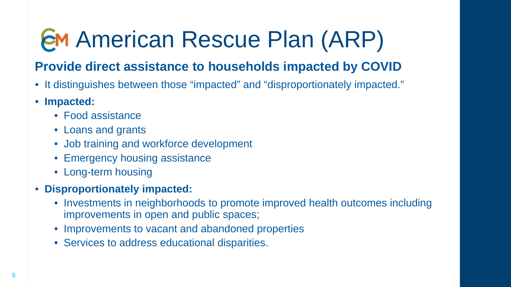#### **Provide direct assistance to households impacted by COVID**

- It distinguishes between those "impacted" and "disproportionately impacted."
- **Impacted:**
	- Food assistance
	- Loans and grants
	- Job training and workforce development
	- Emergency housing assistance
	- Long-term housing
- **Disproportionately impacted:**
	- Investments in neighborhoods to promote improved health outcomes including improvements in open and public spaces;
	- Improvements to vacant and abandoned properties
	- Services to address educational disparities.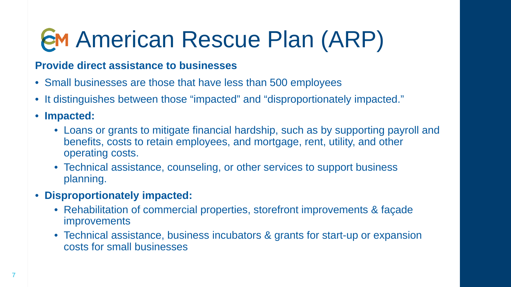#### **Provide direct assistance to businesses**

- Small businesses are those that have less than 500 employees
- It distinguishes between those "impacted" and "disproportionately impacted."
- **Impacted:**
	- Loans or grants to mitigate financial hardship, such as by supporting payroll and benefits, costs to retain employees, and mortgage, rent, utility, and other operating costs.
	- Technical assistance, counseling, or other services to support business planning.
- **Disproportionately impacted:**
	- Rehabilitation of commercial properties, storefront improvements & façade improvements
	- Technical assistance, business incubators & grants for start-up or expansion costs for small businesses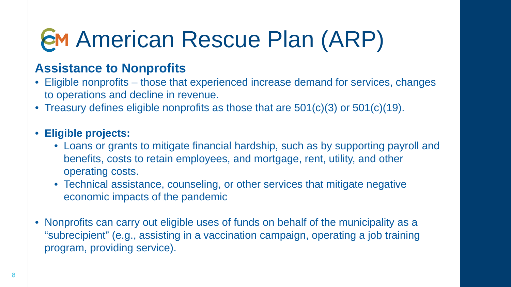#### **Assistance to Nonprofits**

- Eligible nonprofits those that experienced increase demand for services, changes to operations and decline in revenue.
- Treasury defines eligible nonprofits as those that are 501(c)(3) or 501(c)(19).

#### • **Eligible projects:**

- Loans or grants to mitigate financial hardship, such as by supporting payroll and benefits, costs to retain employees, and mortgage, rent, utility, and other operating costs.
- Technical assistance, counseling, or other services that mitigate negative economic impacts of the pandemic
- Nonprofits can carry out eligible uses of funds on behalf of the municipality as a "subrecipient" (e.g., assisting in a vaccination campaign, operating a job training program, providing service).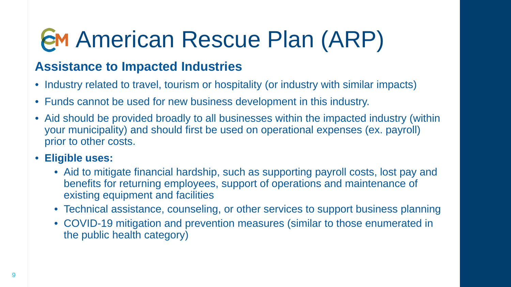#### **Assistance to Impacted Industries**

- Industry related to travel, tourism or hospitality (or industry with similar impacts)
- Funds cannot be used for new business development in this industry.
- Aid should be provided broadly to all businesses within the impacted industry (within your municipality) and should first be used on operational expenses (ex. payroll) prior to other costs.
- **Eligible uses:**
	- Aid to mitigate financial hardship, such as supporting payroll costs, lost pay and benefits for returning employees, support of operations and maintenance of existing equipment and facilities
	- Technical assistance, counseling, or other services to support business planning
	- COVID-19 mitigation and prevention measures (similar to those enumerated in the public health category)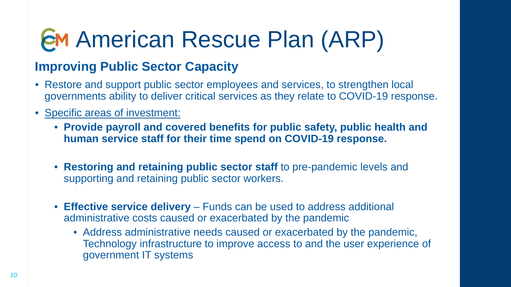#### **Improving Public Sector Capacity**

- Restore and support public sector employees and services, to strengthen local governments ability to deliver critical services as they relate to COVID-19 response.
- Specific areas of investment:
	- **Provide payroll and covered benefits for public safety, public health and human service staff for their time spend on COVID-19 response.**
	- **Restoring and retaining public sector staff** to pre-pandemic levels and supporting and retaining public sector workers.
	- **Effective service delivery** *–* Funds can be used to address additional administrative costs caused or exacerbated by the pandemic
		- Address administrative needs caused or exacerbated by the pandemic, Technology infrastructure to improve access to and the user experience of government IT systems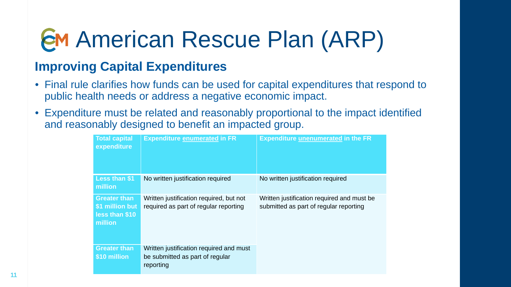#### **Improving Capital Expenditures**

- Final rule clarifies how funds can be used for capital expenditures that respond to public health needs or address a negative economic impact.
- Expenditure must be related and reasonably proportional to the impact identified and reasonably designed to benefit an impacted group.

| <b>Total capital</b><br>expenditure                                 | <b>Expenditure enumerated in FR</b>                                                     | <b>Expenditure unenumerated in the FR</b>                                            |
|---------------------------------------------------------------------|-----------------------------------------------------------------------------------------|--------------------------------------------------------------------------------------|
| Less than \$1<br>million                                            | No written justification required                                                       | No written justification required                                                    |
| <b>Greater than</b><br>\$1 million but<br>less than \$10<br>million | Written justification required, but not<br>required as part of regular reporting        | Written justification required and must be<br>submitted as part of regular reporting |
| <b>Greater than</b><br>\$10 million                                 | Written justification required and must<br>be submitted as part of regular<br>reporting |                                                                                      |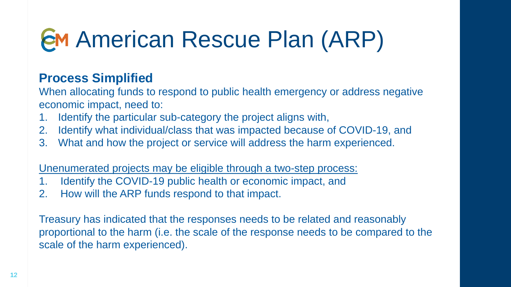#### **Process Simplified**

When allocating funds to respond to public health emergency or address negative economic impact, need to:

- 1. Identify the particular sub-category the project aligns with,
- 2. Identify what individual/class that was impacted because of COVID-19, and
- 3. What and how the project or service will address the harm experienced.

Unenumerated projects may be eligible through a two-step process:

- 1. Identify the COVID-19 public health or economic impact, and
- 2. How will the ARP funds respond to that impact.

Treasury has indicated that the responses needs to be related and reasonably proportional to the harm (i.e. the scale of the response needs to be compared to the scale of the harm experienced).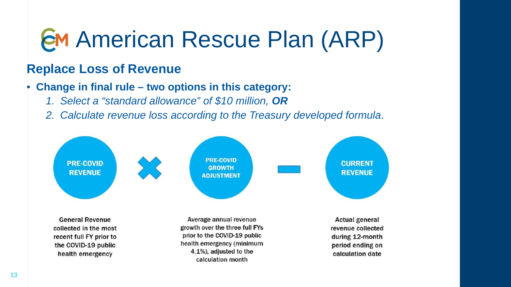#### **Replace Loss of Revenue**

#### • **Change in final rule – two options in this category:**

- *1. Select a "standard allowance" of \$10 million, OR*
- *2. Calculate revenue loss according to the Treasury developed formula*.

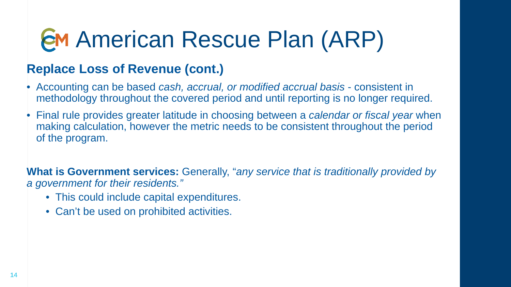#### **Replace Loss of Revenue (cont.)**

- Accounting can be based *cash, accrual, or modified accrual basis*  consistent in methodology throughout the covered period and until reporting is no longer required.
- Final rule provides greater latitude in choosing between a *calendar or fiscal year* when making calculation, however the metric needs to be consistent throughout the period of the program.

**What is Government services:** Generally, "*any service that is traditionally provided by a government for their residents."* 

- This could include capital expenditures.
- Can't be used on prohibited activities.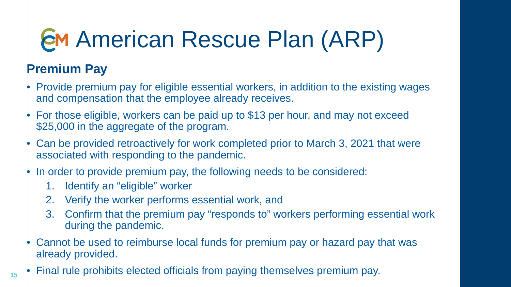#### **Premium Pay**

- Provide premium pay for eligible essential workers, in addition to the existing wages and compensation that the employee already receives.
- For those eligible, workers can be paid up to \$13 per hour, and may not exceed \$25,000 in the aggregate of the program.
- Can be provided retroactively for work completed prior to March 3, 2021 that were associated with responding to the pandemic.
- In order to provide premium pay, the following needs to be considered:
	- 1. Identify an "eligible" worker
	- 2. Verify the worker performs essential work, and
	- 3. Confirm that the premium pay "responds to" workers performing essential work during the pandemic.
- Cannot be used to reimburse local funds for premium pay or hazard pay that was already provided.
- Final rule prohibits elected officials from paying themselves premium pay.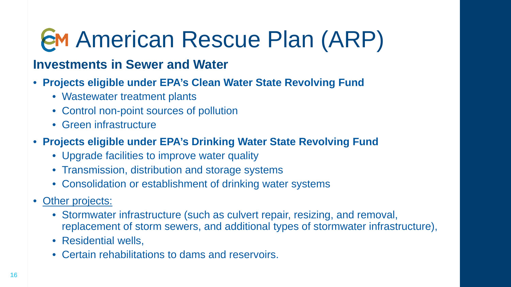#### **Investments in Sewer and Water**

- **Projects eligible under EPA's Clean Water State Revolving Fund**
	- Wastewater treatment plants
	- Control non-point sources of pollution
	- Green infrastructure
- **Projects eligible under EPA's Drinking Water State Revolving Fund**
	- Upgrade facilities to improve water quality
	- Transmission, distribution and storage systems
	- Consolidation or establishment of drinking water systems
- Other projects:
	- Stormwater infrastructure (such as culvert repair, resizing, and removal, replacement of storm sewers, and additional types of stormwater infrastructure),
	- Residential wells,
	- Certain rehabilitations to dams and reservoirs.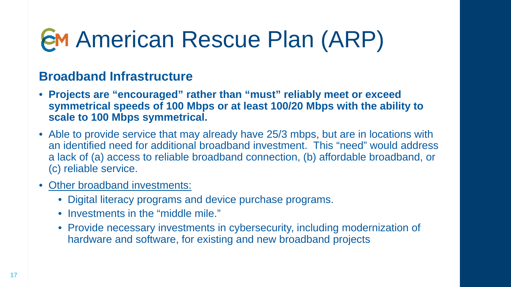#### **Broadband Infrastructure**

- **Projects are "encouraged" rather than "must" reliably meet or exceed symmetrical speeds of 100 Mbps or at least 100/20 Mbps with the ability to scale to 100 Mbps symmetrical.**
- Able to provide service that may already have 25/3 mbps, but are in locations with an identified need for additional broadband investment. This "need" would address a lack of (a) access to reliable broadband connection, (b) affordable broadband, or (c) reliable service.
- Other broadband investments:
	- Digital literacy programs and device purchase programs.
	- Investments in the "middle mile."
	- Provide necessary investments in cybersecurity, including modernization of hardware and software, for existing and new broadband projects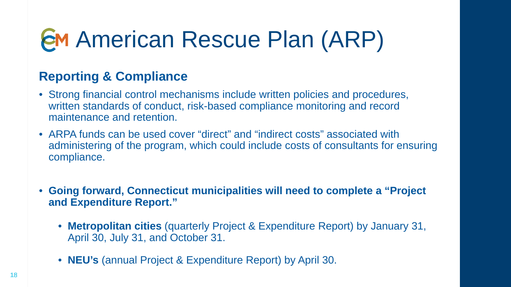#### **Reporting & Compliance**

- Strong financial control mechanisms include written policies and procedures, written standards of conduct, risk-based compliance monitoring and record maintenance and retention.
- ARPA funds can be used cover "direct" and "indirect costs" associated with administering of the program, which could include costs of consultants for ensuring compliance.
- **Going forward, Connecticut municipalities will need to complete a "Project and Expenditure Report."**
	- **Metropolitan cities** (quarterly Project & Expenditure Report) by January 31, April 30, July 31, and October 31.
	- **NEU's** (annual Project & Expenditure Report) by April 30.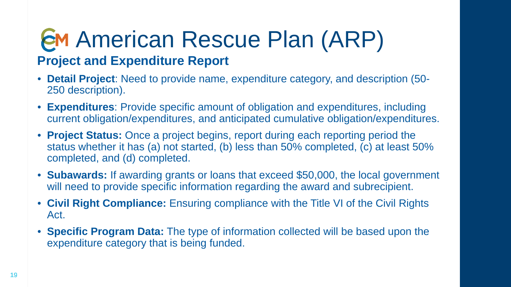### American Rescue Plan (ARP) **Project and Expenditure Report**

- **Detail Project**: Need to provide name, expenditure category, and description (50- 250 description).
- **Expenditures**: Provide specific amount of obligation and expenditures, including current obligation/expenditures, and anticipated cumulative obligation/expenditures.
- **Project Status:** Once a project begins, report during each reporting period the status whether it has (a) not started, (b) less than 50% completed, (c) at least 50% completed, and (d) completed.
- **Subawards:** If awarding grants or loans that exceed \$50,000, the local government will need to provide specific information regarding the award and subrecipient.
- **Civil Right Compliance:** Ensuring compliance with the Title VI of the Civil Rights Act.
- **Specific Program Data:** The type of information collected will be based upon the expenditure category that is being funded.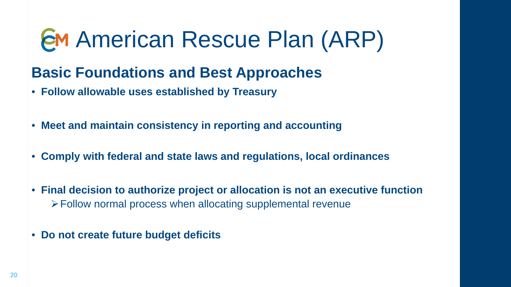### **Basic Foundations and Best Approaches**

- **Follow allowable uses established by Treasury**
- **Meet and maintain consistency in reporting and accounting**
- **Comply with federal and state laws and regulations, local ordinances**
- **Final decision to authorize project or allocation is not an executive function** Follow normal process when allocating supplemental revenue
- **Do not create future budget deficits**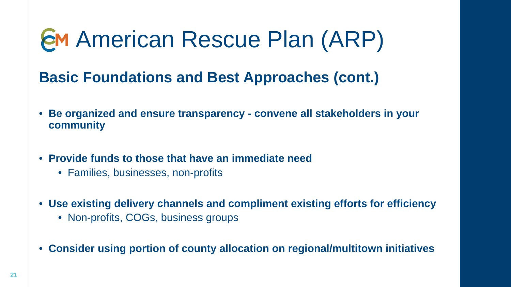### **Basic Foundations and Best Approaches (cont.)**

- **Be organized and ensure transparency - convene all stakeholders in your community**
- **Provide funds to those that have an immediate need**
	- Families, businesses, non-profits
- **Use existing delivery channels and compliment existing efforts for efficiency**
	- Non-profits, COGs, business groups
- **Consider using portion of county allocation on regional/multitown initiatives**